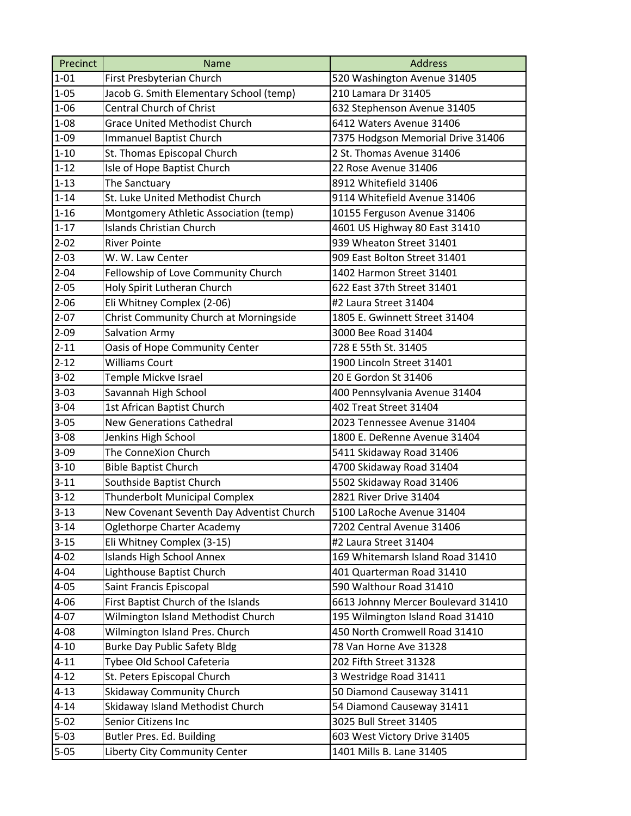| Precinct | <b>Name</b>                               | <b>Address</b>                     |
|----------|-------------------------------------------|------------------------------------|
| $1 - 01$ | First Presbyterian Church                 | 520 Washington Avenue 31405        |
| $1 - 05$ | Jacob G. Smith Elementary School (temp)   | 210 Lamara Dr 31405                |
| $1 - 06$ | <b>Central Church of Christ</b>           | 632 Stephenson Avenue 31405        |
| $1 - 08$ | <b>Grace United Methodist Church</b>      | 6412 Waters Avenue 31406           |
| $1 - 09$ | Immanuel Baptist Church                   | 7375 Hodgson Memorial Drive 31406  |
| $1 - 10$ | St. Thomas Episcopal Church               | 2 St. Thomas Avenue 31406          |
| $1 - 12$ | Isle of Hope Baptist Church               | 22 Rose Avenue 31406               |
| $1 - 13$ | The Sanctuary                             | 8912 Whitefield 31406              |
| $1 - 14$ | St. Luke United Methodist Church          | 9114 Whitefield Avenue 31406       |
| $1 - 16$ | Montgomery Athletic Association (temp)    | 10155 Ferguson Avenue 31406        |
| $1 - 17$ | <b>Islands Christian Church</b>           | 4601 US Highway 80 East 31410      |
| $2 - 02$ | <b>River Pointe</b>                       | 939 Wheaton Street 31401           |
| $2 - 03$ | W. W. Law Center                          | 909 East Bolton Street 31401       |
| $2 - 04$ | Fellowship of Love Community Church       | 1402 Harmon Street 31401           |
| $2 - 05$ | Holy Spirit Lutheran Church               | 622 East 37th Street 31401         |
| $2 - 06$ | Eli Whitney Complex (2-06)                | #2 Laura Street 31404              |
| $2 - 07$ | Christ Community Church at Morningside    | 1805 E. Gwinnett Street 31404      |
| $2 - 09$ | <b>Salvation Army</b>                     | 3000 Bee Road 31404                |
| $2 - 11$ | Oasis of Hope Community Center            | 728 E 55th St. 31405               |
| $2 - 12$ | <b>Williams Court</b>                     | 1900 Lincoln Street 31401          |
| $3 - 02$ | Temple Mickve Israel                      | 20 E Gordon St 31406               |
| $3 - 03$ | Savannah High School                      | 400 Pennsylvania Avenue 31404      |
| $3 - 04$ | 1st African Baptist Church                | 402 Treat Street 31404             |
| $3 - 05$ | <b>New Generations Cathedral</b>          | 2023 Tennessee Avenue 31404        |
| $3 - 08$ | Jenkins High School                       | 1800 E. DeRenne Avenue 31404       |
| $3 - 09$ | The ConneXion Church                      | 5411 Skidaway Road 31406           |
| $3 - 10$ | <b>Bible Baptist Church</b>               | 4700 Skidaway Road 31404           |
| $3 - 11$ | Southside Baptist Church                  | 5502 Skidaway Road 31406           |
| $3 - 12$ | <b>Thunderbolt Municipal Complex</b>      | 2821 River Drive 31404             |
| $3 - 13$ | New Covenant Seventh Day Adventist Church | 5100 LaRoche Avenue 31404          |
| $3 - 14$ | Oglethorpe Charter Academy                | 7202 Central Avenue 31406          |
| $3 - 15$ | Eli Whitney Complex (3-15)                | #2 Laura Street 31404              |
| $4 - 02$ | <b>Islands High School Annex</b>          | 169 Whitemarsh Island Road 31410   |
| $4 - 04$ | Lighthouse Baptist Church                 | 401 Quarterman Road 31410          |
| $4 - 05$ | Saint Francis Episcopal                   | 590 Walthour Road 31410            |
| $4 - 06$ | First Baptist Church of the Islands       | 6613 Johnny Mercer Boulevard 31410 |
| $4 - 07$ | Wilmington Island Methodist Church        | 195 Wilmington Island Road 31410   |
| $4 - 08$ | Wilmington Island Pres. Church            | 450 North Cromwell Road 31410      |
| $4 - 10$ | <b>Burke Day Public Safety Bldg</b>       | 78 Van Horne Ave 31328             |
| $4 - 11$ | Tybee Old School Cafeteria                | 202 Fifth Street 31328             |
| $4 - 12$ | St. Peters Episcopal Church               | 3 Westridge Road 31411             |
| $4 - 13$ | Skidaway Community Church                 | 50 Diamond Causeway 31411          |
| $4 - 14$ | Skidaway Island Methodist Church          | 54 Diamond Causeway 31411          |
| $5-02$   | Senior Citizens Inc                       | 3025 Bull Street 31405             |
| $5 - 03$ | Butler Pres. Ed. Building                 | 603 West Victory Drive 31405       |
| $5 - 05$ | Liberty City Community Center             | 1401 Mills B. Lane 31405           |